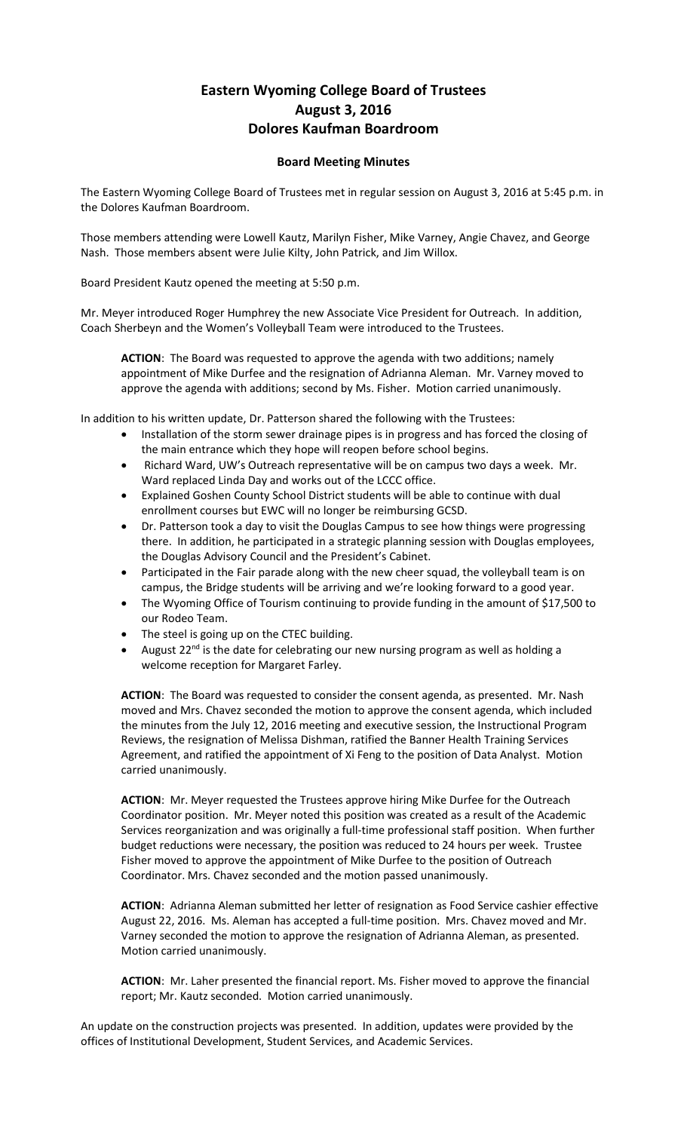## **Eastern Wyoming College Board of Trustees August 3, 2016 Dolores Kaufman Boardroom**

## **Board Meeting Minutes**

The Eastern Wyoming College Board of Trustees met in regular session on August 3, 2016 at 5:45 p.m. in the Dolores Kaufman Boardroom.

Those members attending were Lowell Kautz, Marilyn Fisher, Mike Varney, Angie Chavez, and George Nash. Those members absent were Julie Kilty, John Patrick, and Jim Willox.

Board President Kautz opened the meeting at 5:50 p.m.

Mr. Meyer introduced Roger Humphrey the new Associate Vice President for Outreach. In addition, Coach Sherbeyn and the Women's Volleyball Team were introduced to the Trustees.

**ACTION**: The Board was requested to approve the agenda with two additions; namely appointment of Mike Durfee and the resignation of Adrianna Aleman. Mr. Varney moved to approve the agenda with additions; second by Ms. Fisher. Motion carried unanimously.

In addition to his written update, Dr. Patterson shared the following with the Trustees:

- Installation of the storm sewer drainage pipes is in progress and has forced the closing of the main entrance which they hope will reopen before school begins.
- Richard Ward, UW's Outreach representative will be on campus two days a week. Mr. Ward replaced Linda Day and works out of the LCCC office.
- Explained Goshen County School District students will be able to continue with dual enrollment courses but EWC will no longer be reimbursing GCSD.
- Dr. Patterson took a day to visit the Douglas Campus to see how things were progressing there. In addition, he participated in a strategic planning session with Douglas employees, the Douglas Advisory Council and the President's Cabinet.
- Participated in the Fair parade along with the new cheer squad, the volleyball team is on campus, the Bridge students will be arriving and we're looking forward to a good year.
- The Wyoming Office of Tourism continuing to provide funding in the amount of \$17,500 to our Rodeo Team.
- The steel is going up on the CTEC building.
- August 22<sup>nd</sup> is the date for celebrating our new nursing program as well as holding a welcome reception for Margaret Farley.

**ACTION**: The Board was requested to consider the consent agenda, as presented. Mr. Nash moved and Mrs. Chavez seconded the motion to approve the consent agenda, which included the minutes from the July 12, 2016 meeting and executive session, the Instructional Program Reviews, the resignation of Melissa Dishman, ratified the Banner Health Training Services Agreement, and ratified the appointment of Xi Feng to the position of Data Analyst. Motion carried unanimously.

**ACTION**: Mr. Meyer requested the Trustees approve hiring Mike Durfee for the Outreach Coordinator position. Mr. Meyer noted this position was created as a result of the Academic Services reorganization and was originally a full-time professional staff position. When further budget reductions were necessary, the position was reduced to 24 hours per week. Trustee Fisher moved to approve the appointment of Mike Durfee to the position of Outreach Coordinator. Mrs. Chavez seconded and the motion passed unanimously.

**ACTION**: Adrianna Aleman submitted her letter of resignation as Food Service cashier effective August 22, 2016. Ms. Aleman has accepted a full-time position. Mrs. Chavez moved and Mr. Varney seconded the motion to approve the resignation of Adrianna Aleman, as presented. Motion carried unanimously.

**ACTION**: Mr. Laher presented the financial report. Ms. Fisher moved to approve the financial report; Mr. Kautz seconded. Motion carried unanimously.

An update on the construction projects was presented. In addition, updates were provided by the offices of Institutional Development, Student Services, and Academic Services.